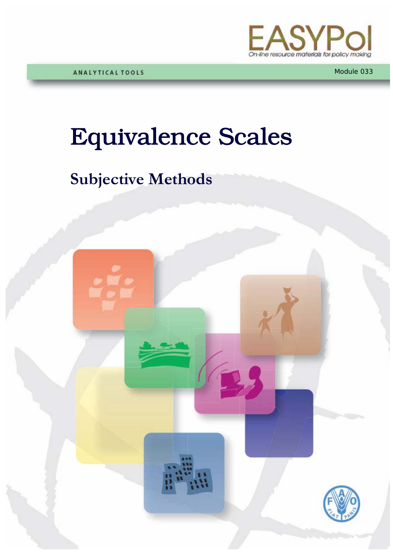

# Equivalence Scales

# **Subjective Methods**

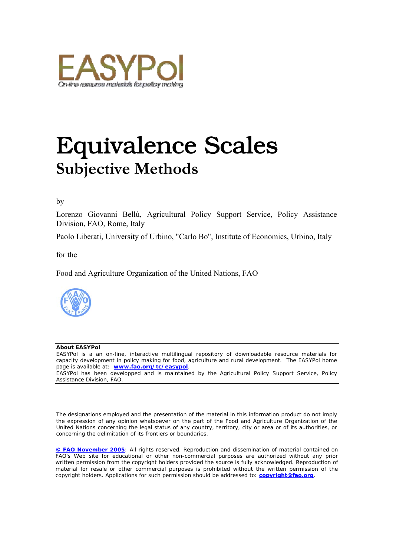

# Equivalence Scales **Subjective Methods**

#### by

Lorenzo Giovanni Bellù, Agricultural Policy Support Service, Policy Assistance Division, FAO, Rome, Italy

Paolo Liberati, University of Urbino, "Carlo Bo", Institute of Economics, Urbino, Italy

#### for the

Food and Agriculture Organization of the United Nations, FAO



#### **About EASYPol**

EASYPol is a an on-line, interactive multilingual repository of downloadable resource materials for capacity development in policy making for food, agriculture and rural development. The EASYPol home page is available at: *[www.fao.org/tc/easypol](http://www.fao.org/tc/easypol)*. EASYPol has been developped and is maintained by the Agricultural Policy Support Service, Policy Assistance Division, FAO.

The designations employed and the presentation of the material in this information product do not imply the expression of any opinion whatsoever on the part of the Food and Agriculture Organization of the United Nations concerning the legal status of any country, territory, city or area or of its authorities, or concerning the delimitation of its frontiers or boundaries.

**[© FAO November 2005](http://www.fao.org/copyright_EN.htm)**: All rights reserved. Reproduction and dissemination of material contained on FAO's Web site for educational or other non-commercial purposes are authorized without any prior written permission from the copyright holders provided the source is fully acknowledged. Reproduction of material for resale or other commercial purposes is prohibited without the written permission of the copyright holders. Applications for such permission should be addressed to: **[copyright@fao.org](mailto:copyright@fao.org)**.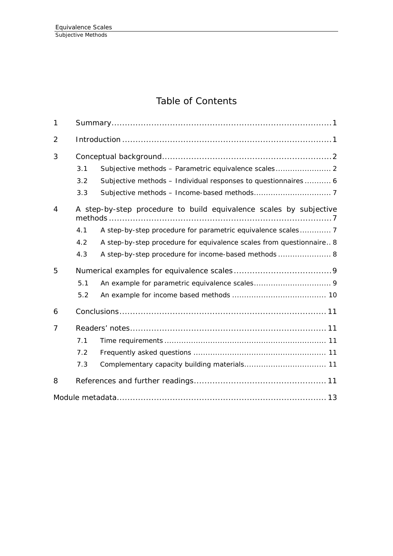# Table of Contents

| $\mathbf{1}$   |                                                                    |                                                                      |  |  |  |
|----------------|--------------------------------------------------------------------|----------------------------------------------------------------------|--|--|--|
| $\overline{2}$ |                                                                    |                                                                      |  |  |  |
| 3              |                                                                    |                                                                      |  |  |  |
|                | 3.1                                                                |                                                                      |  |  |  |
|                | 3.2                                                                | Subjective methods - Individual responses to questionnaires 6        |  |  |  |
|                | 3.3                                                                |                                                                      |  |  |  |
| 4              | A step-by-step procedure to build equivalence scales by subjective |                                                                      |  |  |  |
|                | 4.1                                                                | A step-by-step procedure for parametric equivalence scales 7         |  |  |  |
|                | 4.2                                                                | A step-by-step procedure for equivalence scales from questionnaire 8 |  |  |  |
|                | 4.3                                                                | A step-by-step procedure for income-based methods 8                  |  |  |  |
| 5              |                                                                    |                                                                      |  |  |  |
|                | 5.1                                                                |                                                                      |  |  |  |
|                | 5.2                                                                |                                                                      |  |  |  |
| 6              |                                                                    |                                                                      |  |  |  |
| 7              |                                                                    |                                                                      |  |  |  |
|                | 7.1                                                                |                                                                      |  |  |  |
|                | 7.2                                                                |                                                                      |  |  |  |
|                | 7.3                                                                |                                                                      |  |  |  |
| 8              |                                                                    |                                                                      |  |  |  |
|                |                                                                    |                                                                      |  |  |  |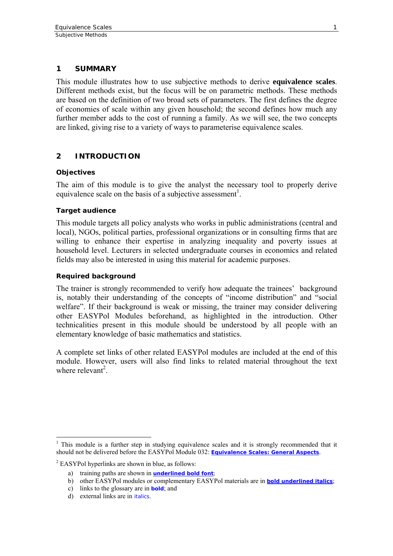#### <span id="page-4-0"></span>**1 SUMMARY**

This module illustrates how to use subjective methods to derive **equivalence scales**. Different methods exist, but the focus will be on parametric methods. These methods are based on the definition of two broad sets of parameters. The first defines the degree of economies of scale within any given household; the second defines how much any further member adds to the cost of running a family. As we will see, the two concepts are linked, giving rise to a variety of ways to parameterise equivalence scales.

# **2 INTRODUCTION**

#### **Objectives**

The aim of this module is to give the analyst the necessary tool to properly derive equivalence scale on the basis of a subjective assessment<sup>[1](#page-4-1)</sup>.

#### **Target audience**

This module targets all policy analysts who works in public administrations (central and local), NGOs, political parties, professional organizations or in consulting firms that are willing to enhance their expertise in analyzing inequality and poverty issues at household level. Lecturers in selected undergraduate courses in economics and related fields may also be interested in using this material for academic purposes.

#### **Required background**

The trainer is strongly recommended to verify how adequate the trainees' background is, notably their understanding of the concepts of "income distribution" and "social welfare". If their background is weak or missing, the trainer may consider delivering other EASYPol Modules beforehand, as highlighted in the introduction. Other technicalities present in this module should be understood by all people with an elementary knowledge of basic mathematics and statistics.

A complete set links of other related EASYPol modules are included at the end of this module. However, users will also find links to related material throughout the text where relevant<sup>2</sup>.

<span id="page-4-1"></span><sup>&</sup>lt;sup>1</sup> This module is a further step in studying equivalence scales and it is strongly recommended that it should not be delivered before the EASYPol Module 032: *[Equivalence Scales: General Aspects](http://www.fao.org/docs/up/easypol/325/equiv_scales_general_032EN.pdf)*.

<span id="page-4-2"></span><sup>&</sup>lt;sup>2</sup> EASYPol hyperlinks are shown in blue, as follows:

a) training paths are shown in **underlined bold font**;

b) other EASYPol modules or complementary EASYPol materials are in *bold underlined italics*;

c) links to the glossary are in **bold**; and

d) external links are in *italics*.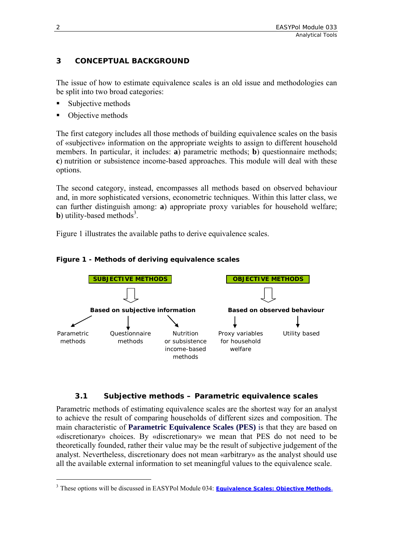# <span id="page-5-0"></span>**3 CONCEPTUAL BACKGROUND**

The issue of how to estimate equivalence scales is an old issue and methodologies can be split into two broad categories:

- Subjective methods
- Objective methods

The first category includes all those methods of building equivalence scales on the basis of «subjective» information on the appropriate weights to assign to different household members. In particular, it includes: **a**) parametric methods; **b**) questionnaire methods; **c**) nutrition or subsistence income-based approaches. This module will deal with these options.

The second category, instead, encompasses all methods based on observed behaviour and, in more sophisticated versions, econometric techniques. Within this latter class, we can further distinguish among: **a**) appropriate proxy variables for household welfare; **b**) utility-based methods<sup>[3](#page-5-1)</sup>.

Figure 1 illustrates the available paths to derive equivalence scales.





#### **3.1 Subjective methods – Parametric equivalence scales**

Parametric methods of estimating equivalence scales are the shortest way for an analyst to achieve the result of comparing households of different sizes and composition. The main characteristic of **Parametric Equivalence Scales (PES)** is that they are based on «discretionary» choices. By «discretionary» we mean that PES do not need to be theoretically founded, rather their value may be the result of subjective judgement of the analyst. Nevertheless, discretionary does not mean «arbitrary» as the analyst should use all the available external information to set meaningful values to the equivalence scale.

 $\overline{a}$ 

<span id="page-5-1"></span><sup>&</sup>lt;sup>3</sup> These options will be discussed in EASYPol Module 034: *[Equivalence Scales: Objective Methods](http://www.fao.org/docs/up/easypol/327/equivalencescls-objective_methods_034EN.pdf)*.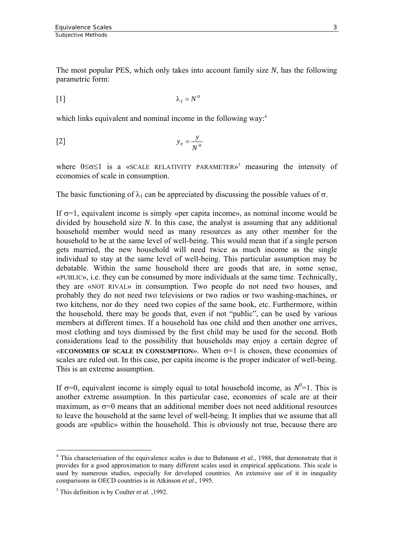The most popular PES, which only takes into account family size *N*, has the following parametric form:

$$
\lambda_1 = N^{\sigma}
$$

which links equivalent and nominal income in the following way:<sup>[4](#page-6-0)</sup>

$$
y_e = \frac{y}{N^{\sigma}}
$$

where0≤σ≤1 is a «SCALE RELATIVITY PARAMETER»<sup>5</sup> measuring the intensity of economies of scale in consumption.

The basic functioning of  $\lambda_1$  can be appreciated by discussing the possible values of  $\sigma$ .

If  $\sigma$ =1, equivalent income is simply «per capita income», as nominal income would be divided by household size *N*. In this case, the analyst is assuming that any additional household member would need as many resources as any other member for the household to be at the same level of well-being. This would mean that if a single person gets married, the new household will need twice as much income as the single individual to stay at the same level of well-being. This particular assumption may be debatable. Within the same household there are goods that are, in some sense, «PUBLIC», i.e. they can be consumed by more individuals at the same time. Technically, they are «NOT RIVAL» in consumption. Two people do not need two houses, and probably they do not need two televisions or two radios or two washing-machines, or two kitchens, nor do they need two copies of the same book, etc. Furthermore, within the household, there may be goods that, even if not "public", can be used by various members at different times. If a household has one child and then another one arrives, most clothing and toys dismissed by the first child may be used for the second. Both considerations lead to the possibility that households may enjoy a certain degree of «**ECONOMIES OF SCALE IN CONSUMPTION**». When  $\sigma=1$  is chosen, these economies of scales are ruled out. In this case, per capita income is the proper indicator of well-being. This is an extreme assumption.

If  $\sigma$ =0, equivalent income is simply equal to total household income, as  $N^0$ =1. This is another extreme assumption. In this particular case, economies of scale are at their maximum, as  $\sigma=0$  means that an additional member does not need additional resources to leave the household at the same level of well-being. It implies that we assume that all goods are «public» within the household. This is obviously not true, because there are

<span id="page-6-0"></span> $\overline{a}$ <sup>4</sup> This characterisation of the equivalence scales is due to Buhmann *et al.*, 1988, that demonstrate that it provides for a good approximation to many different scales used in empirical applications. This scale is used by numerous studies, especially for developed countries. An extensive use of it in inequality comparisons in OECD countries is in Atkinson *et al*., 1995.

<span id="page-6-1"></span><sup>5</sup> This definition is by Coulter *et al*. ,1992.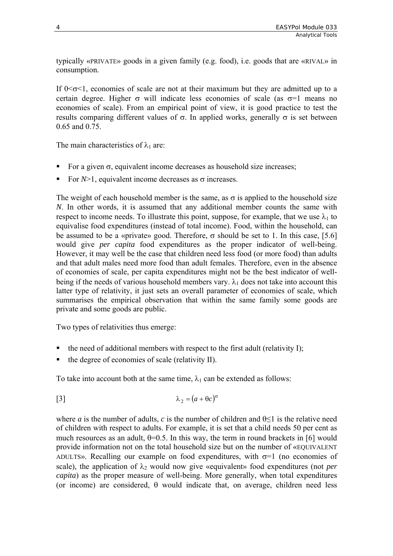typically «PRIVATE» goods in a given family (e.g. food), i.e. goods that are «RIVAL» in consumption.

If  $0 \le \sigma \le 1$ , economies of scale are not at their maximum but they are admitted up to a certain degree. Higher  $\sigma$  will indicate less economies of scale (as  $\sigma$ =1 means no economies of scale). From an empirical point of view, it is good practice to test the results comparing different values of σ. In applied works, generally σ is set between 0.65 and 0.75.

The main characteristics of  $\lambda_1$  are:

- For a given  $\sigma$ , equivalent income decreases as household size increases;
- For  $N>1$ , equivalent income decreases as  $\sigma$  increases.

The weight of each household member is the same, as  $\sigma$  is applied to the household size *N*. In other words, it is assumed that any additional member counts the same with respect to income needs. To illustrate this point, suppose, for example, that we use  $\lambda_1$  to equivalise food expenditures (instead of total income). Food, within the household, can be assumed to be a «private» good. Therefore,  $\sigma$  should be set to 1. In this case, [5.6] would give *per capita* food expenditures as the proper indicator of well-being. However, it may well be the case that children need less food (or more food) than adults and that adult males need more food than adult females. Therefore, even in the absence of economies of scale, per capita expenditures might not be the best indicator of wellbeing if the needs of various household members vary.  $\lambda_1$  does not take into account this latter type of relativity, it just sets an overall parameter of economies of scale, which summarises the empirical observation that within the same family some goods are private and some goods are public.

Two types of relativities thus emerge:

- the need of additional members with respect to the first adult (relativity I);
- the degree of economies of scale (relativity II).

To take into account both at the same time,  $\lambda_1$  can be extended as follows:

$$
\lambda_2 = (a + \theta c)^{\sigma}
$$

where *a* is the number of adults, *c* is the number of children and  $\theta \leq 1$  is the relative need of children with respect to adults. For example, it is set that a child needs 50 per cent as much resources as an adult,  $\theta = 0.5$ . In this way, the term in round brackets in [6] would provide information not on the total household size but on the number of «EQUIVALENT ADULTS». Recalling our example on food expenditures, with  $\sigma=1$  (no economies of scale), the application of  $\lambda_2$  would now give «equivalent» food expenditures (not *per capita*) as the proper measure of well-being. More generally, when total expenditures (or income) are considered,  $\theta$  would indicate that, on average, children need less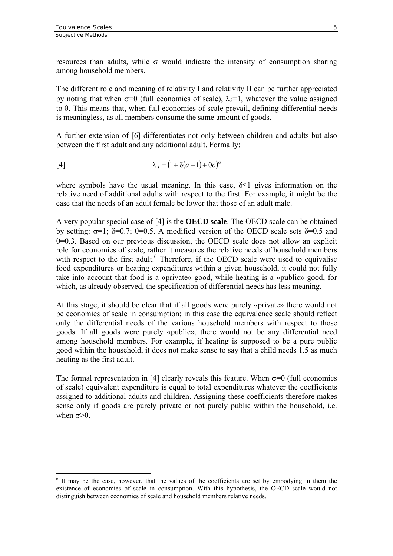$\overline{a}$ 

resources than adults, while  $\sigma$  would indicate the intensity of consumption sharing among household members.

The different role and meaning of relativity I and relativity II can be further appreciated by noting that when  $\sigma=0$  (full economies of scale),  $\lambda=1$ , whatever the value assigned to θ. This means that, when full economies of scale prevail, defining differential needs is meaningless, as all members consume the same amount of goods.

A further extension of [6] differentiates not only between children and adults but also between the first adult and any additional adult. Formally:

$$
\lambda_3 = (1 + \delta(a - 1) + \theta c)^{\sigma}
$$

where symbols have the usual meaning. In this case,  $\delta$ <1 gives information on the relative need of additional adults with respect to the first. For example, it might be the case that the needs of an adult female be lower that those of an adult male.

A very popular special case of [4] is the **OECD scale**. The OECD scale can be obtained by setting:  $\sigma=1$ ; δ=0.7; θ=0.5. A modified version of the OECD scale sets δ=0.5 and θ=0.3. Based on our previous discussion, the OECD scale does not allow an explicit role for economies of scale, rather it measures the relative needs of household members with respect to the first adult.<sup>6</sup> Therefore, if the OECD scale were used to equivalise food expenditures or heating expenditures within a given household, it could not fully take into account that food is a «private» good, while heating is a «public» good, for which, as already observed, the specification of differential needs has less meaning.

At this stage, it should be clear that if all goods were purely «private» there would not be economies of scale in consumption; in this case the equivalence scale should reflect only the differential needs of the various household members with respect to those goods. If all goods were purely «public», there would not be any differential need among household members. For example, if heating is supposed to be a pure public good within the household, it does not make sense to say that a child needs 1.5 as much heating as the first adult.

The formal representation in [4] clearly reveals this feature. When  $\sigma$ =0 (full economies of scale) equivalent expenditure is equal to total expenditures whatever the coefficients assigned to additional adults and children. Assigning these coefficients therefore makes sense only if goods are purely private or not purely public within the household, i.e. when  $\sigma$ >0.

<span id="page-8-0"></span><sup>&</sup>lt;sup>6</sup> It may be the case, however, that the values of the coefficients are set by embodying in them the existence of economies of scale in consumption. With this hypothesis, the OECD scale would not distinguish between economies of scale and household members relative needs.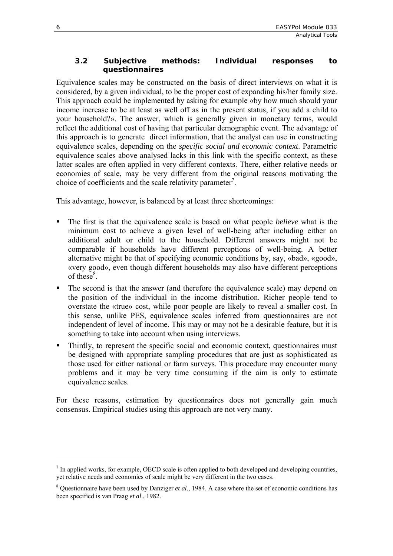#### <span id="page-9-0"></span>**3.2 Subjective methods: Individual responses to questionnaires**

Equivalence scales may be constructed on the basis of direct interviews on what it is considered, by a given individual, to be the proper cost of expanding his/her family size. This approach could be implemented by asking for example «by how much should your income increase to be at least as well off as in the present status, if you add a child to your household?». The answer, which is generally given in monetary terms, would reflect the additional cost of having that particular demographic event. The advantage of this approach is to generate direct information, that the analyst can use in constructing equivalence scales, depending on the *specific social and economic context*. Parametric equivalence scales above analysed lacks in this link with the specific context, as these latter scales are often applied in very different contexts. There, either relative needs or economies of scale, may be very different from the original reasons motivating the choice of coefficients and the scale relativity parameter<sup>7</sup>.

This advantage, however, is balanced by at least three shortcomings:

- The first is that the equivalence scale is based on what people *believe* what is the minimum cost to achieve a given level of well-being after including either an additional adult or child to the household. Different answers might not be comparable if households have different perceptions of well-being. A better alternative might be that of specifying economic conditions by, say, «bad», «good», «very good», even though different households may also have different perceptions of these $8$ [.](#page-9-2)
- The second is that the answer (and therefore the equivalence scale) may depend on the position of the individual in the income distribution. Richer people tend to overstate the «true» cost, while poor people are likely to reveal a smaller cost. In this sense, unlike PES, equivalence scales inferred from questionnaires are not independent of level of income. This may or may not be a desirable feature, but it is something to take into account when using interviews.
- Thirdly, to represent the specific social and economic context, questionnaires must be designed with appropriate sampling procedures that are just as sophisticated as those used for either national or farm surveys. This procedure may encounter many problems and it may be very time consuming if the aim is only to estimate equivalence scales.

For these reasons, estimation by questionnaires does not generally gain much consensus. Empirical studies using this approach are not very many.

 $\overline{a}$ 

<span id="page-9-1"></span> $<sup>7</sup>$  In applied works, for example, OECD scale is often applied to both developed and developing countries,</sup> yet relative needs and economies of scale might be very different in the two cases.

<span id="page-9-2"></span><sup>&</sup>lt;sup>8</sup> Questionnaire have been used by Danziger *et al.*, 1984. A case where the set of economic conditions has been specified is van Praag *et al*., 1982.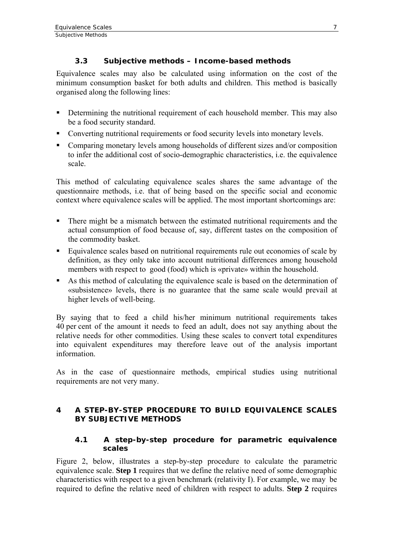# **3.3 Subjective methods – Income-based methods**

<span id="page-10-0"></span>Equivalence scales may also be calculated using information on the cost of the minimum consumption basket for both adults and children. This method is basically organised along the following lines:

- Determining the nutritional requirement of each household member. This may also be a food security standard.
- Converting nutritional requirements or food security levels into monetary levels.
- Comparing monetary levels among households of different sizes and/or composition to infer the additional cost of socio-demographic characteristics, i.e. the equivalence scale.

This method of calculating equivalence scales shares the same advantage of the questionnaire methods, i.e. that of being based on the specific social and economic context where equivalence scales will be applied. The most important shortcomings are:

- There might be a mismatch between the estimated nutritional requirements and the actual consumption of food because of, say, different tastes on the composition of the commodity basket.
- Equivalence scales based on nutritional requirements rule out economies of scale by definition, as they only take into account nutritional differences among household members with respect to good (food) which is «private» within the household.
- As this method of calculating the equivalence scale is based on the determination of «subsistence» levels, there is no guarantee that the same scale would prevail at higher levels of well-being.

By saying that to feed a child his/her minimum nutritional requirements takes 40 per cent of the amount it needs to feed an adult, does not say anything about the relative needs for other commodities. Using these scales to convert total expenditures into equivalent expenditures may therefore leave out of the analysis important information.

As in the case of questionnaire methods, empirical studies using nutritional requirements are not very many.

# **4 A STEP-BY-STEP PROCEDURE TO BUILD EQUIVALENCE SCALES BY SUBJECTIVE METHODS**

#### **4.1 A step-by-step procedure for parametric equivalence scales**

Figure 2, below, illustrates a step-by-step procedure to calculate the parametric equivalence scale. **Step 1** requires that we define the relative need of some demographic characteristics with respect to a given benchmark (relativity I). For example, we may be required to define the relative need of children with respect to adults. **Step 2** requires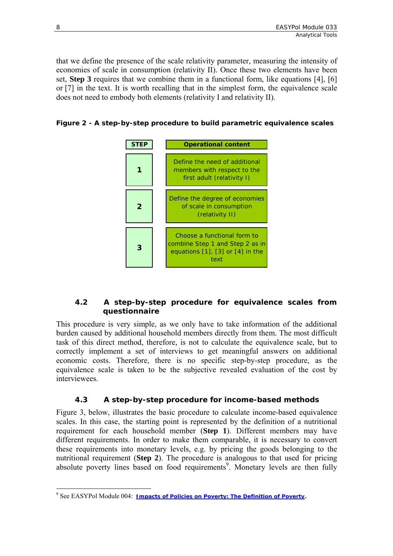<span id="page-11-0"></span>that we define the presence of the scale relativity parameter, measuring the intensity of economies of scale in consumption (relativity II). Once these two elements have been set, **Step 3** requires that we combine them in a functional form, like equations [4], [6] or [7] in the text. It is worth recalling that in the simplest form, the equivalence scale does not need to embody both elements (relativity I and relativity II).

**Figure 2 - A step-by-step procedure to build parametric equivalence scales** 



# **4.2 A step-by-step procedure for equivalence scales from questionnaire**

This procedure is very simple, as we only have to take information of the additional burden caused by additional household members directly from them. The most difficult task of this direct method, therefore, is not to calculate the equivalence scale, but to correctly implement a set of interviews to get meaningful answers on additional economic costs. Therefore, there is no specific step-by-step procedure, as the equivalence scale is taken to be the subjective revealed evaluation of the cost by interviewees.

# **4.3 A step-by-step procedure for income-based methods**

Figure 3, below, illustrates the basic procedure to calculate income-based equivalence scales. In this case, the starting point is represented by the definition of a nutritional requirement for each household member (**Step 1**). Different members may have different requirements. In order to make them comparable, it is necessary to convert these requirements into monetary levels, e.g. by pricing the goods belonging to the nutritional requirement (**Step 2**). The procedure is analogous to that used for pricing absolute poverty lines based on food requirements<sup>9</sup>. Monetary levels are then fully

<span id="page-11-1"></span> $\overline{a}$ <sup>9</sup> See EASYPol Module 004: <u>[Impacts of Policies on Poverty: The Definition of](http://www.fao.org/docs/up/easypol/312/povanlys_defpov_004EN.pdf) Poverty</u>.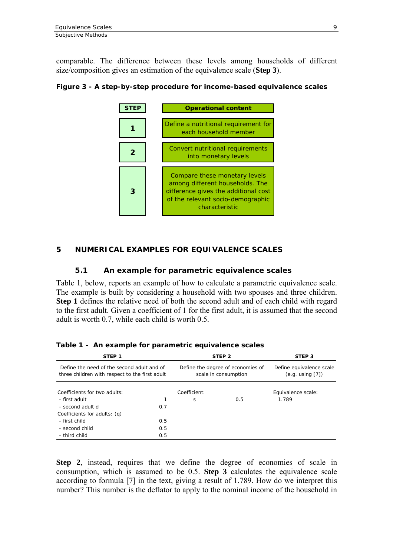<span id="page-12-0"></span>comparable. The difference between these levels among households of different size/composition gives an estimation of the equivalence scale (**Step 3**).

#### **Figure 3 - A step-by-step procedure for income-based equivalence scales**



#### **5 NUMERICAL EXAMPLES FOR EQUIVALENCE SCALES**

#### **5.1 An example for parametric equivalence scales**

Table 1, below, reports an example of how to calculate a parametric equivalence scale. The example is built by considering a household with two spouses and three children. **Step 1** defines the relative need of both the second adult and of each child with regard to the first adult. Given a coefficient of 1 for the first adult, it is assumed that the second adult is worth 0.7, while each child is worth 0.5.

| STEP <sub>1</sub>                                                                            |     | STEP <sub>2</sub>                                         | STEP <sub>3</sub>                                 |                    |
|----------------------------------------------------------------------------------------------|-----|-----------------------------------------------------------|---------------------------------------------------|--------------------|
| Define the need of the second adult and of<br>three children with respect to the first adult |     | Define the degree of economies of<br>scale in consumption | Define equivalence scale<br>$(e.g.$ using $[7]$ ) |                    |
| Coefficients for two adults:                                                                 |     | Coefficient:                                              |                                                   | Equivalence scale: |
| - first adult                                                                                |     | S                                                         | 0.5                                               | 1.789              |
| - second adult d                                                                             | 0.7 |                                                           |                                                   |                    |
| Coefficients for adults: (g)                                                                 |     |                                                           |                                                   |                    |
| - first child                                                                                | 0.5 |                                                           |                                                   |                    |
| - second child                                                                               | 0.5 |                                                           |                                                   |                    |
| - third child                                                                                | 0.5 |                                                           |                                                   |                    |

**Table 1 - An example for parametric equivalence scales** 

**Step 2**, instead, requires that we define the degree of economies of scale in consumption, which is assumed to be 0.5. **Step 3** calculates the equivalence scale according to formula [7] in the text, giving a result of 1.789. How do we interpret this number? This number is the deflator to apply to the nominal income of the household in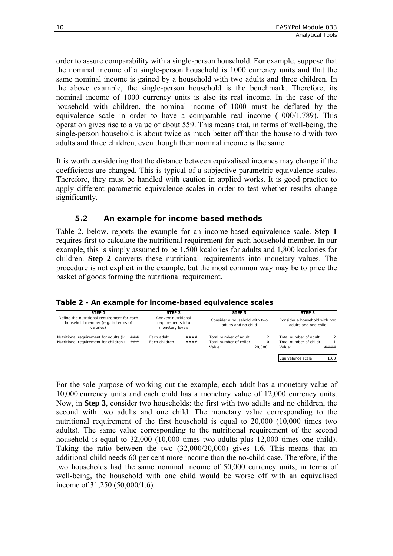<span id="page-13-0"></span>order to assure comparability with a single-person household. For example, suppose that the nominal income of a single-person household is 1000 currency units and that the same nominal income is gained by a household with two adults and three children. In the above example, the single-person household is the benchmark. Therefore, its nominal income of 1000 currency units is also its real income. In the case of the household with children, the nominal income of 1000 must be deflated by the equivalence scale in order to have a comparable real income (1000/1.789). This operation gives rise to a value of about 559. This means that, in terms of well-being, the single-person household is about twice as much better off than the household with two adults and three children, even though their nominal income is the same.

It is worth considering that the distance between equivalised incomes may change if the coefficients are changed. This is typical of a subjective parametric equivalence scales. Therefore, they must be handled with caution in applied works. It is good practice to apply different parametric equivalence scales in order to test whether results change significantly.

#### **5.2 An example for income based methods**

Table 2, below, reports the example for an income-based equivalence scale. **Step 1** requires first to calculate the nutritional requirement for each household member. In our example, this is simply assumed to be 1,500 kcalories for adults and 1,800 kcalories for children. **Step 2** converts these nutritional requirements into monetary values. The procedure is not explicit in the example, but the most common way may be to price the basket of goods forming the nutritional requirement.

#### **Table 2 - An example for income-based equivalence scales**

| STEP <sub>1</sub>                                                                              | STEP <sub>2</sub><br>Convert nutritional<br>requirements into<br>monetary levels |      | STEP <sub>3</sub><br>Consider a household with two<br>adults and no child |          | STEP <sub>3</sub><br>Consider a household with two<br>adults and one child |               |
|------------------------------------------------------------------------------------------------|----------------------------------------------------------------------------------|------|---------------------------------------------------------------------------|----------|----------------------------------------------------------------------------|---------------|
| Define the nutritional requirement for each<br>household member (e.g. in terms of<br>calories) |                                                                                  |      |                                                                           |          |                                                                            |               |
| Nutritional requirement for adults (kc $\# \# \#$                                              | Fach adult                                                                       | #### | Total number of adults                                                    |          | Total number of adult:                                                     | $\mathcal{P}$ |
| Nutritional requirement for children (<br>###                                                  | Fach children                                                                    | #### | Total number of childr                                                    | $\Omega$ | Total number of childr                                                     |               |
|                                                                                                |                                                                                  |      | Value:                                                                    | 20,000   | Value:                                                                     | ####          |
|                                                                                                |                                                                                  |      |                                                                           |          |                                                                            |               |
|                                                                                                |                                                                                  |      |                                                                           |          | Equivalence scale                                                          | 1.60          |

For the sole purpose of working out the example, each adult has a monetary value of 10,000 currency units and each child has a monetary value of 12,000 currency units. Now, in **Step 3**, consider two households: the first with two adults and no children, the second with two adults and one child. The monetary value corresponding to the nutritional requirement of the first household is equal to 20,000 (10,000 times two adults). The same value corresponding to the nutritional requirement of the second household is equal to 32,000 (10,000 times two adults plus 12,000 times one child). Taking the ratio between the two (32,000/20,000) gives 1.6. This means that an additional child needs 60 per cent more income than the no-child case. Therefore, if the two households had the same nominal income of 50,000 currency units, in terms of well-being, the household with one child would be worse off with an equivalised income of 31,250 (50,000/1.6).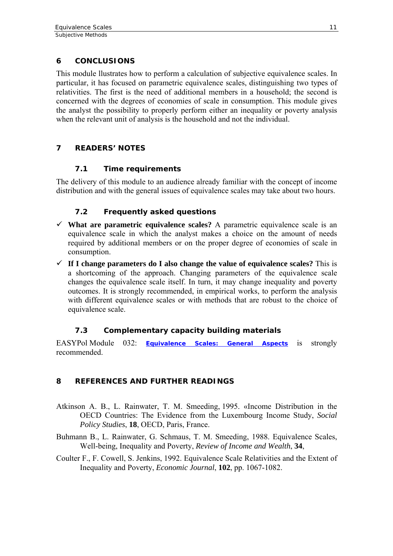# <span id="page-14-0"></span>**6 CONCLUSIONS**

This module llustrates how to perform a calculation of subjective equivalence scales. In particular, it has focused on parametric equivalence scales, distinguishing two types of relativities. The first is the need of additional members in a household; the second is concerned with the degrees of economies of scale in consumption. This module gives the analyst the possibility to properly perform either an inequality or poverty analysis when the relevant unit of analysis is the household and not the individual.

# **7 READERS' NOTES**

# **7.1 Time requirements**

The delivery of this module to an audience already familiar with the concept of income distribution and with the general issues of equivalence scales may take about two hours.

# **7.2 Frequently asked questions**

- $\checkmark$  What are parametric equivalence scales? A parametric equivalence scale is an equivalence scale in which the analyst makes a choice on the amount of needs required by additional members or on the proper degree of economies of scale in consumption.
- $\checkmark$  If I change parameters do I also change the value of equivalence scales? This is a shortcoming of the approach. Changing parameters of the equivalence scale changes the equivalence scale itself. In turn, it may change inequality and poverty outcomes. It is strongly recommended, in empirical works, to perform the analysis with different equivalence scales or with methods that are robust to the choice of equivalence scale.

# **7.3 Complementary capacity building materials**

EASYPol Module 032: *[Equivalence Scales: General Aspects](http://www.fao.org/docs/up/easypol/325/equiv_scales_general_032EN.pdf)* is strongly recommended.

# **8 REFERENCES AND FURTHER READINGS**

- Atkinson A. B., L. Rainwater, T. M. Smeeding, 1995. «Income Distribution in the OECD Countries: The Evidence from the Luxembourg Income Study, *Social Policy Studies*, **18**, OECD, Paris, France.
- Buhmann B., L. Rainwater, G. Schmaus, T. M. Smeeding, 1988. Equivalence Scales, Well-being, Inequality and Poverty, *Review of Income and Wealth*, **34**,
- Coulter F., F. Cowell, S. Jenkins, 1992. Equivalence Scale Relativities and the Extent of Inequality and Poverty, *Economic Journal*, **102**, pp. 1067-1082.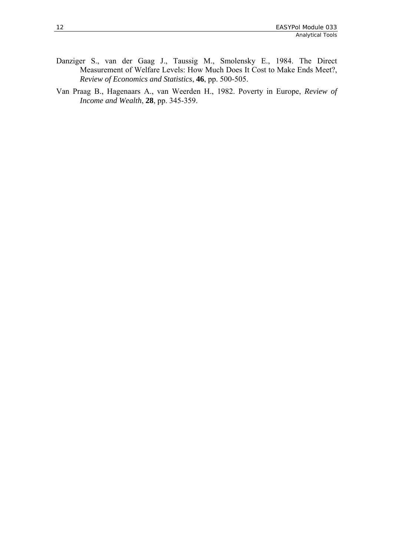- Danziger S., van der Gaag J., Taussig M., Smolensky E., 1984. The Direct Measurement of Welfare Levels: How Much Does It Cost to Make Ends Meet?, *Review of Economics and Statistics*, **46**, pp. 500-505.
- Van Praag B., Hagenaars A., van Weerden H., 1982. Poverty in Europe, *Review of Income and Wealth*, **28**, pp. 345-359.